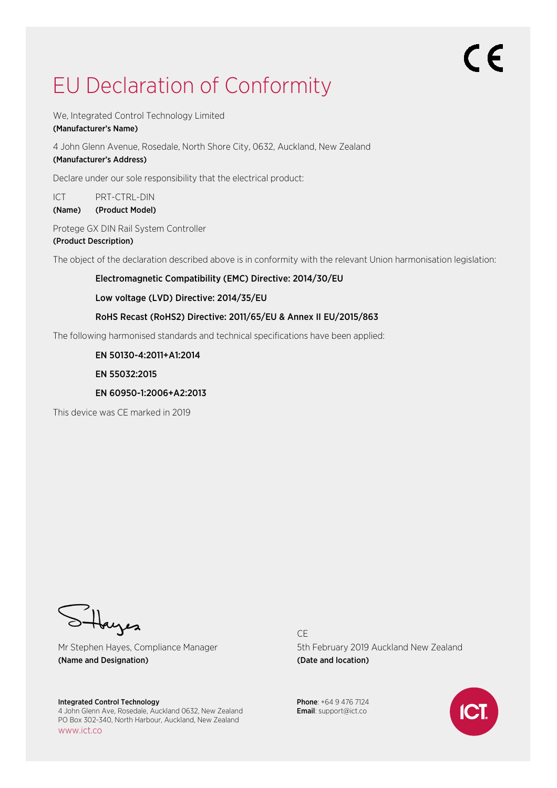# EU Declaration of Conformity

We, Integrated Control Technology Limited

#### (Manufacturer's Name)

4 John Glenn Avenue, Rosedale, North Shore City, 0632, Auckland, New Zealand

### (Manufacturer's Address)

Declare under our sole responsibility that the electrical product:

ICT PRT-CTRL-DIN

(Name) (Product Model)

Protege GX DIN Rail System Controller (Product Description)

The object of the declaration described above is in conformity with the relevant Union harmonisation legislation:

Electromagnetic Compatibility (EMC) Directive: 2014/30/EU

Low voltage (LVD) Directive: 2014/35/EU

#### RoHS Recast (RoHS2) Directive: 2011/65/EU & Annex II EU/2015/863

The following harmonised standards and technical specifications have been applied:

EN 50130-4:2011+A1:2014

EN 55032:2015

#### EN 60950-1:2006+A2:2013

This device was CE marked in 2019

bayes

Mr Stephen Hayes, Compliance Manager (Name and Designation)

Integrated Control Technology 4 John Glenn Ave, Rosedale, Auckland 0632, New Zealand PO Box 302-340, North Harbour, Auckland, New Zealand www.ict.co

CE 5th February 2019 Auckland New Zealand (Date and location)

Phone: +64 9 476 7124 Email: support@ict.co